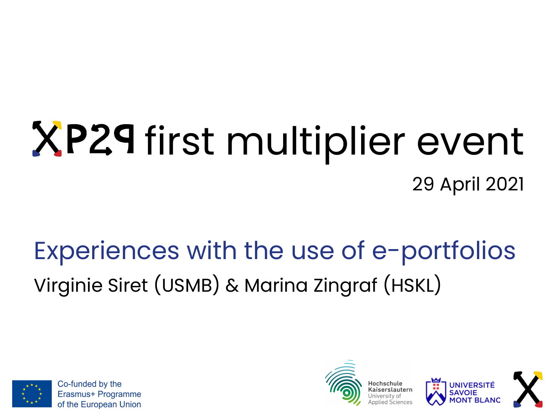# XP29 first multiplier event 29 April 2021

#### Experiences with the use of e-portfolios Virginie Siret (USMB) & Marina Zingraf (HSKL)



Co-funded by the Erasmus+ Programme of the European Union





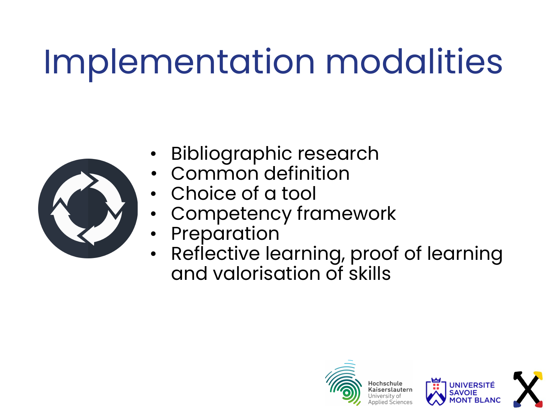### Implementation modalities



- Bibliographic research
- Common definition
- Choice of a tool
- Competency framework
	- **Preparation**
- Reflective learning, proof of learning and valorisation of skills



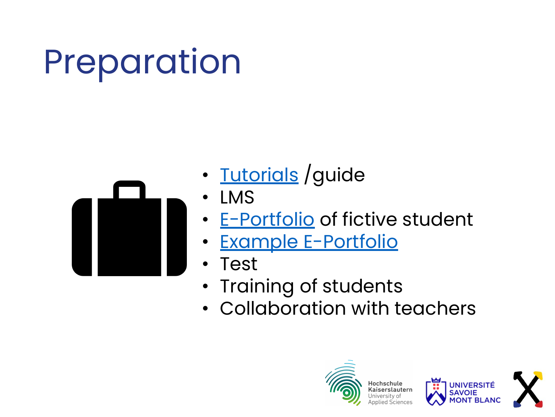# Preparation



- [Tutorials](http://c2i.univ-savoie.fr/mahara2/view/view.php?id=3978) / guide
- LMS
- **[E-Portfolio](http://c2i.univ-savoie.fr/mahara2/user/view.php?id=1307)** of fictive student
- [Example E-Portfolio](https://mahara.hs-kl.de/view/view.php?t=8YedDrq5Q14sGJZXUTkp)
- Test
- Training of students
- Collaboration with teachers





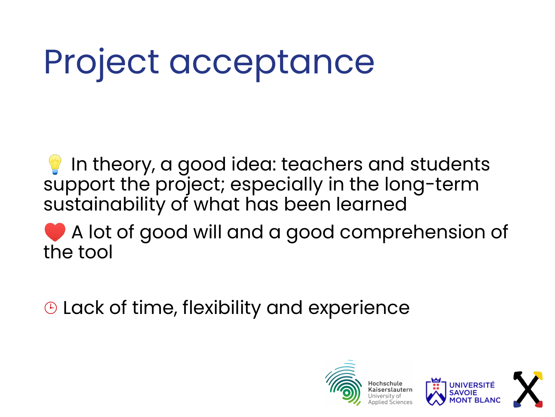# Project acceptance

In theory, a good idea: teachers and students support the project; especially in the long-term sustainability of what has been learned

A lot of good will and a good comprehension of the tool

⌚ Lack of time, flexibility and experience





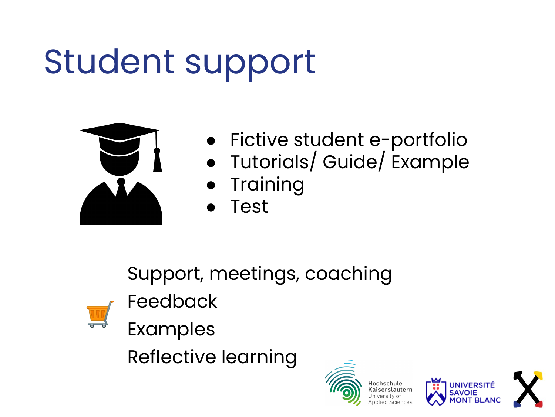### Student support



- Fictive student e-portfolio
- Tutorials/ Guide/ Example
- **Training**
- **Test**

Support, meetings, coaching



Feedback

Examples

Reflective learning





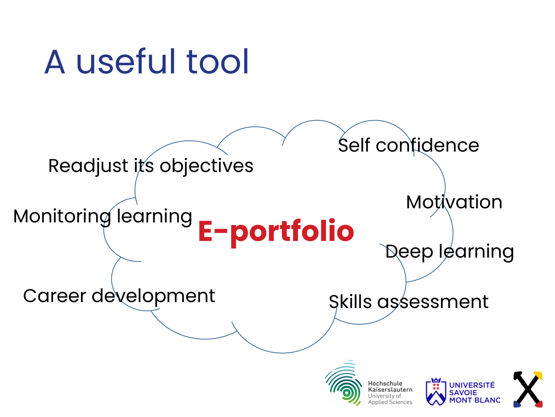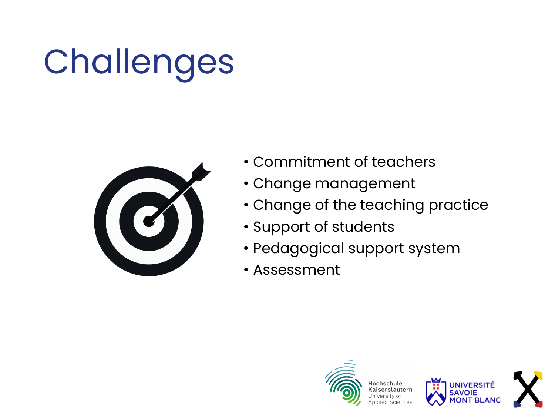# Challenges



- Commitment of teachers
- Change management
- Change of the teaching practice
- Support of students
- Pedagogical support system
- Assessment